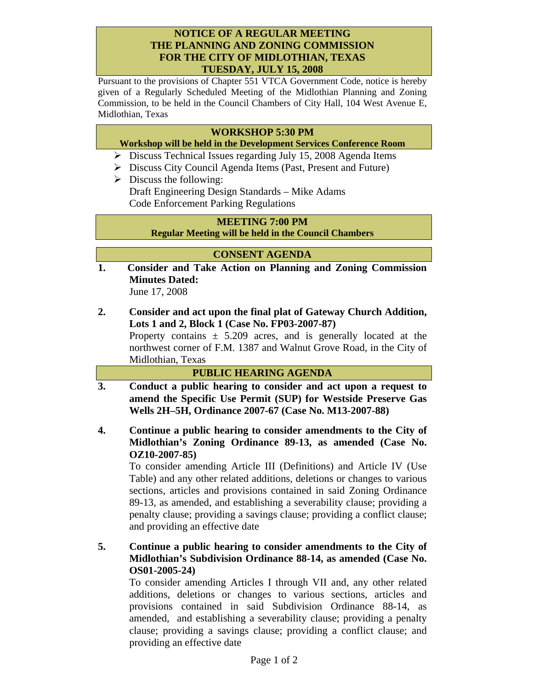## **NOTICE OF A REGULAR MEETING THE PLANNING AND ZONING COMMISSION FOR THE CITY OF MIDLOTHIAN, TEXAS TUESDAY, JULY 15, 2008**

Pursuant to the provisions of Chapter 551 VTCA Government Code, notice is hereby given of a Regularly Scheduled Meeting of the Midlothian Planning and Zoning Commission, to be held in the Council Chambers of City Hall, 104 West Avenue E, Midlothian, Texas

## **WORKSHOP 5:30 PM**

### **Workshop will be held in the Development Services Conference Room**

- ¾ Discuss Technical Issues regarding July 15, 2008 Agenda Items
- ¾ Discuss City Council Agenda Items (Past, Present and Future)
- $\triangleright$  Discuss the following: Draft Engineering Design Standards – Mike Adams Code Enforcement Parking Regulations

# **MEETING 7:00 PM**

**Regular Meeting will be held in the Council Chambers** 

### **CONSENT AGENDA**

**1. Consider and Take Action on Planning and Zoning Commission Minutes Dated:** 

June 17, 2008

**2. Consider and act upon the final plat of Gateway Church Addition, Lots 1 and 2, Block 1 (Case No. FP03-2007-87)** 

Property contains  $\pm$  5.209 acres, and is generally located at the northwest corner of F.M. 1387 and Walnut Grove Road, in the City of Midlothian, Texas

#### **PUBLIC HEARING AGENDA**

- **3. Conduct a public hearing to consider and act upon a request to amend the Specific Use Permit (SUP) for Westside Preserve Gas Wells 2H–5H, Ordinance 2007-67 (Case No. M13-2007-88)**
- **4. Continue a public hearing to consider amendments to the City of Midlothian's Zoning Ordinance 89-13, as amended (Case No. OZ10-2007-85)**

To consider amending Article III (Definitions) and Article IV (Use Table) and any other related additions, deletions or changes to various sections, articles and provisions contained in said Zoning Ordinance 89-13, as amended, and establishing a severability clause; providing a penalty clause; providing a savings clause; providing a conflict clause; and providing an effective date

# **5. Continue a public hearing to consider amendments to the City of Midlothian's Subdivision Ordinance 88-14, as amended (Case No. OS01-2005-24)**

To consider amending Articles I through VII and, any other related additions, deletions or changes to various sections, articles and provisions contained in said Subdivision Ordinance 88-14, as amended, and establishing a severability clause; providing a penalty clause; providing a savings clause; providing a conflict clause; and providing an effective date